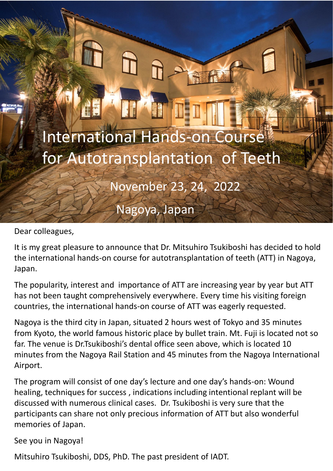

Dear colleagues,

It is my great pleasure to announce that Dr. Mitsuhiro Tsukiboshi has decided to hold the international hands-on course for autotransplantation of teeth (ATT) in Nagoya, Japan.

The popularity, interest and importance of ATT are increasing year by year but ATT has not been taught comprehensively everywhere. Every time his visiting foreign countries, the international hands-on course of ATT was eagerly requested.

Nagoya is the third city in Japan, situated 2 hours west of Tokyo and 35 minutes from Kyoto, the world famous historic place by bullet train. Mt. Fuji is located not so far. The venue is Dr.Tsukiboshi's dental office seen above, which is located 10 minutes from the Nagoya Rail Station and 45 minutes from the Nagoya International Airport.

The program will consist of one day's lecture and one day's hands-on: Wound healing, techniques for success , indications including intentional replant will be discussed with numerous clinical cases. Dr. Tsukiboshi is very sure that the participants can share not only precious information of ATT but also wonderful memories of Japan.

See you in Nagoya!

Mitsuhiro Tsukiboshi, DDS, PhD. The past president of IADT.